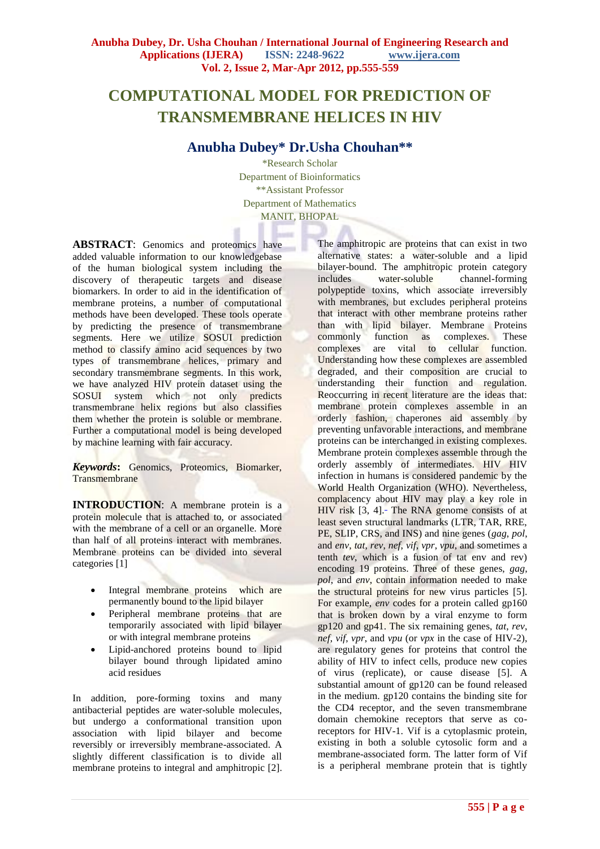# **COMPUTATIONAL MODEL FOR PREDICTION OF TRANSMEMBRANE HELICES IN HIV**

## **Anubha Dubey\* Dr.Usha Chouhan\*\***

\*Research Scholar Department of Bioinformatics \*\*Assistant Professor Department of Mathematics MANIT, BHOPAL

**ABSTRACT**: Genomics and proteomics have added valuable information to our knowledgebase of the human biological system including the discovery of therapeutic targets and disease biomarkers. In order to aid in the identification of membrane proteins, a number of computational methods have been developed. These tools operate by predicting the presence of transmembrane segments. Here we utilize SOSUI prediction method to classify amino acid sequences by two types of transmembrane helices, primary and secondary transmembrane segments. In this work, we have analyzed HIV protein dataset using the SOSUI system which not only predicts transmembrane helix regions but also classifies them whether the protein is soluble or membrane. Further a computational model is being developed by machine learning with fair accuracy.

*Keywords***:** Genomics, Proteomics, Biomarker, **Transmembrane** 

**INTRODUCTION:** A membrane protein is a protein molecule that is attached to, or associated with the membrane of a cell or an organelle. More than half of all proteins interact with membranes. Membrane proteins can be divided into several categories [1]

- Integral membrane proteins which are permanently bound to the lipid bilayer
- Peripheral membrane proteins that are temporarily associated with lipid bilayer or with integral membrane proteins
- Lipid-anchored proteins bound to lipid bilayer bound through lipidated amino acid residues

In addition, pore-forming toxins and many antibacterial peptides are water-soluble molecules, but undergo a conformational transition upon association with lipid bilayer and become reversibly or irreversibly membrane-associated. A slightly different classification is to divide all membrane proteins to integral and amphitropic [2].

The amphitropic are proteins that can exist in two alternative states: a water-soluble and a lipid bilayer-bound. The amphitropic protein category<br>includes water-soluble channel-forming water-soluble channel-forming polypeptide toxins, which associate irreversibly with membranes, but excludes peripheral proteins that interact with other membrane proteins rather than with lipid bilayer. Membrane Proteins commonly function as complexes. These complexes are vital to cellular function. Understanding how these complexes are assembled degraded, and their composition are crucial to understanding their function and regulation. Reoccurring in recent literature are the ideas that: membrane protein complexes assemble in an orderly fashion, chaperones aid assembly by preventing unfavorable interactions, and membrane proteins can be interchanged in existing complexes. Membrane protein complexes assemble through the orderly assembly of intermediates. HIV HIV infection in humans is considered pandemic by the World Health Organization (WHO). Nevertheless, complacency about HIV may play a key role in  $HIV$  risk  $[3, 4]$ . The RNA genome consists of at least seven structural landmarks (LTR, TAR, RRE, PE, SLIP, CRS, and INS) and nine genes (*gag*, *pol*, and *env*, *tat*, *rev*, *nef*, *vif*, *vpr*, *vpu*, and sometimes a tenth *tev*, which is a fusion of tat env and rev) encoding 19 proteins. Three of these genes, *gag*, *pol*, and *env*, contain information needed to make the structural proteins for new virus particles [5]. For example, *env* codes for a protein called gp160 that is broken down by a viral enzyme to form gp120 and gp41. The six remaining genes, *tat*, *rev*, *nef*, *vif*, *vpr*, and *vpu* (or *vpx* in the case of HIV-2), are regulatory genes for proteins that control the ability of HIV to infect cells, produce new copies of virus (replicate), or cause disease [5]. A substantial amount of gp120 can be found released in the medium. gp120 contains the binding site for the CD4 receptor, and the seven transmembrane domain chemokine receptors that serve as coreceptors for HIV-1. Vif is a cytoplasmic protein, existing in both a soluble cytosolic form and a membrane-associated form. The latter form of Vif is a peripheral membrane protein that is tightly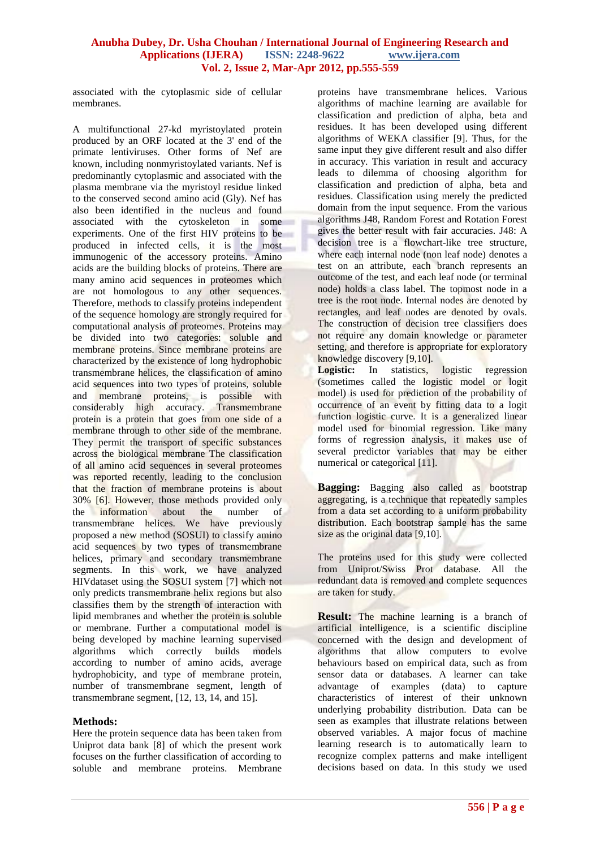associated with the cytoplasmic side of cellular membranes.

A multifunctional 27-kd myristoylated protein produced by an ORF located at the 3' end of the primate lentiviruses. Other forms of Nef are known, including nonmyristoylated variants. Nef is predominantly cytoplasmic and associated with the plasma membrane via the myristoyl residue linked to the conserved second amino acid (Gly). Nef has also been identified in the nucleus and found associated with the cytoskeleton in some experiments. One of the first HIV proteins to be produced in infected cells, it is the most immunogenic of the accessory proteins. Amino acids are the building blocks of proteins. There are many amino acid sequences in proteomes which are not homologous to any other sequences. Therefore, methods to classify proteins independent of the sequence homology are strongly required for computational analysis of proteomes. Proteins may be divided into two categories: soluble and membrane proteins. Since membrane proteins are characterized by the existence of long hydrophobic transmembrane helices, the classification of amino acid sequences into two types of proteins, soluble and membrane proteins, is possible with considerably high accuracy. Transmembrane protein is a protein that goes from one side of a membrane through to other side of the membrane. They permit the transport of specific substances across the biological membrane The classification of all amino acid sequences in several proteomes was reported recently, leading to the conclusion that the fraction of membrane proteins is about 30% [6]. However, those methods provided only the information about the number of transmembrane helices. We have previously proposed a new method (SOSUI) to classify amino acid sequences by two types of transmembrane helices, primary and secondary transmembrane segments. In this work, we have analyzed HIVdataset using the SOSUI system [7] which not only predicts transmembrane helix regions but also classifies them by the strength of interaction with lipid membranes and whether the protein is soluble or membrane. Further a computational model is being developed by machine learning supervised algorithms which correctly builds models according to number of amino acids, average hydrophobicity, and type of membrane protein, number of transmembrane segment, length of transmembrane segment, [12, 13, 14, and 15].

#### **Methods:**

Here the protein sequence data has been taken from Uniprot data bank [8] of which the present work focuses on the further classification of according to soluble and membrane proteins. Membrane

proteins have transmembrane helices. Various algorithms of machine learning are available for classification and prediction of alpha, beta and residues. It has been developed using different algorithms of WEKA classifier [9]. Thus, for the same input they give different result and also differ in accuracy. This variation in result and accuracy leads to dilemma of choosing algorithm for classification and prediction of alpha, beta and residues. Classification using merely the predicted domain from the input sequence. From the various algorithms J48, Random Forest and Rotation Forest gives the better result with fair accuracies. J48: A decision tree is a flowchart-like tree structure, where each internal node (non leaf node) denotes a test on an attribute, each branch represents an outcome of the test, and each leaf node (or terminal node) holds a class label. The topmost node in a tree is the root node. Internal nodes are denoted by rectangles, and leaf nodes are denoted by ovals. The construction of decision tree classifiers does not require any domain knowledge or parameter setting, and therefore is appropriate for exploratory knowledge discovery [9,10].

Logistic: In statistics, logistic regression (sometimes called the logistic model or logit model) is used for prediction of the probability of occurrence of an event by fitting data to a logit function logistic curve. It is a generalized linear model used for binomial regression. Like many forms of regression analysis, it makes use of several predictor variables that may be either numerical or categorical [11].

**Bagging:** Bagging also called as bootstrap aggregating, is a technique that repeatedly samples from a data set according to a uniform probability distribution. Each bootstrap sample has the same size as the original data [9,10].

The proteins used for this study were collected from Uniprot/Swiss Prot database. All the redundant data is removed and complete sequences are taken for study.

**Result:** The machine learning is a branch of artificial intelligence, is a scientific discipline concerned with the design and development of algorithms that allow computers to evolve behaviours based on empirical data, such as from sensor data or databases. A learner can take advantage of examples (data) to capture characteristics of interest of their unknown underlying probability distribution. Data can be seen as examples that illustrate relations between observed variables. A major focus of machine learning research is to automatically learn to recognize complex patterns and make intelligent decisions based on data. In this study we used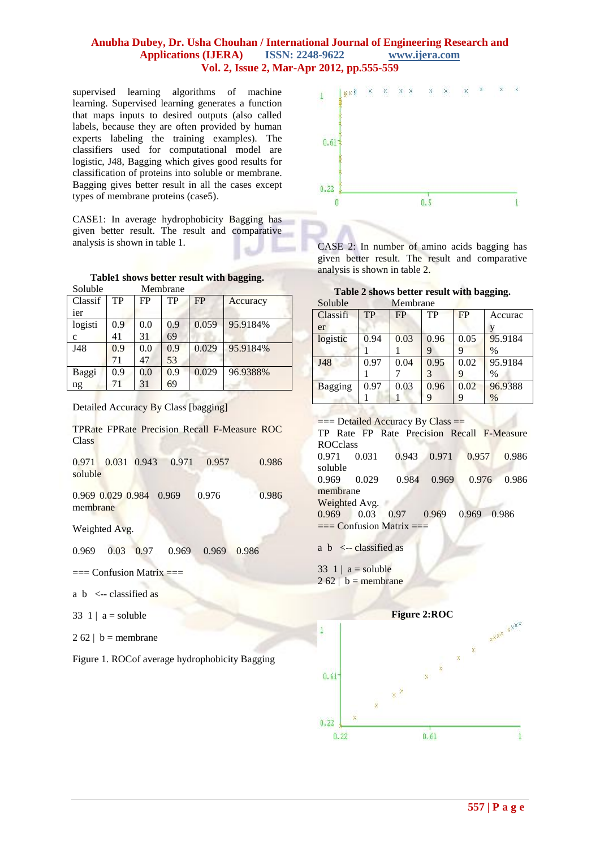supervised learning algorithms of machine learning. Supervised learning generates a function that maps inputs to desired outputs (also called labels, because they are often provided by human experts labeling the training examples). The classifiers used for computational model are logistic, J48, Bagging which gives good results for classification of proteins into soluble or membrane. Bagging gives better result in all the cases except types of membrane proteins (case5).

CASE1: In average hydrophobicity Bagging has given better result. The result and comparative analysis is shown in table 1.

|  |  |  |  |  | Table1 shows better result with bagging. |
|--|--|--|--|--|------------------------------------------|
|--|--|--|--|--|------------------------------------------|

| Soluble      | Membrane |     |     |           |          |  |
|--------------|----------|-----|-----|-----------|----------|--|
| Classif      | TP       | FP  | TP  | <b>FP</b> | Accuracy |  |
| ier          |          |     |     |           |          |  |
| logisti      | 0.9      | 0.0 | 0.9 | 0.059     | 95.9184% |  |
| $\mathbf{C}$ | 41       | 31  | 69  |           |          |  |
| J48          | 0.9      | 0.0 | 0.9 | 0.029     | 95.9184% |  |
|              | 71       | 47  | 53  |           |          |  |
| Baggi        | 0.9      | 0.0 | 0.9 | 0.029     | 96.9388% |  |
| ng           | 71       | 31  | 69  |           |          |  |
|              |          |     |     |           |          |  |

Detailed Accuracy By Class [bagging]

TPRate FPRate Precision Recall F-Measure ROC Class

0.971 0.031 0.943 0.971 0.957 0.986 soluble

0.969 0.029 0.984 0.969 0.976 0.986 membrane

Weighted Avg.

0.969 0.03 0.97 0.969 0.969 0.986

 $==$  Confusion Matrix  $==$ 

- a  $b \le$ -- classified as
- 33 1 |  $a =$  soluble

 $2 62$  | b = membrane

Figure 1. ROCof average hydrophobicity Bagging



CASE 2: In number of amino acids bagging has given better result. The result and comparative analysis is shown in table 2.

|  | Table 2 shows better result with bagging. |
|--|-------------------------------------------|
|--|-------------------------------------------|

| Soluble        | Membrane  |      |      |      |               |
|----------------|-----------|------|------|------|---------------|
| Classifi       | <b>TP</b> | FP   | TP   | FP   | Accurac       |
| er             |           |      |      |      |               |
| logistic       | 0.94      | 0.03 | 0.96 | 0.05 | 95.9184       |
|                |           |      |      | y    | $\frac{0}{0}$ |
| J48            | 0.97      | 0.04 | 0.95 | 0.02 | 95.9184       |
|                |           |      |      | 9    | $\%$          |
| <b>Bagging</b> | 0.97      | 0.03 | 0.96 | 0.02 | 96.9388       |
|                |           |      |      | 9    | $\%$          |

 $==$  Detailed Accuracy By Class  $==$ 

TP Rate FP Rate Precision Recall F-Measure ROCclass 0.971 0.031 0.943 0.971 0.957 0.986 soluble<br>0.969 0.969 0.029 0.984 0.969 0.976 0.986 membrane Weighted Avg. 0.969 0.03 0.97 0.969 0.969 0.986  $==$  Confusion Matrix  $==$ 

a  $b \le -$  classified as

33 1 |  $a =$  soluble  $2 62 | b =$ membrane

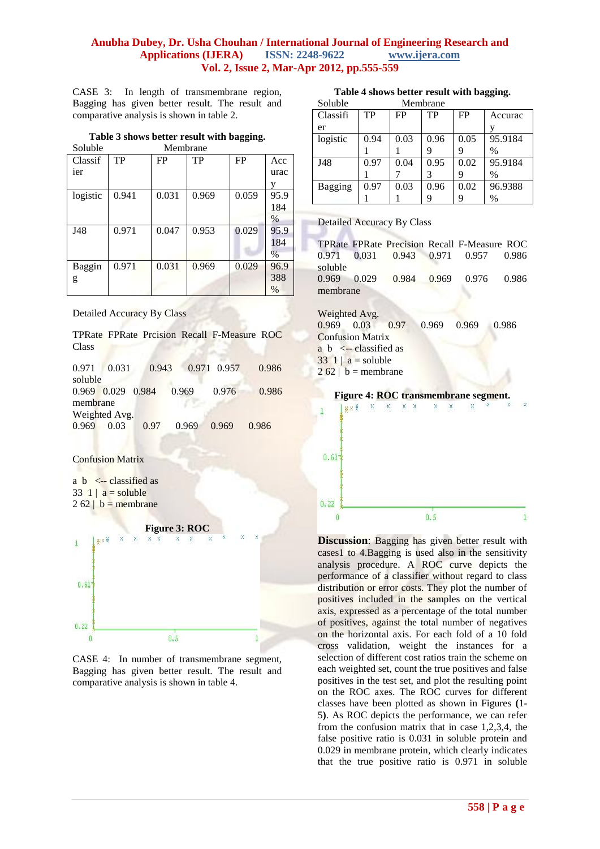CASE 3: In length of transmembrane region, Bagging has given better result. The result and comparative analysis is shown in table 2.

#### **Table 3 shows better result with bagging.**

| Soluble  | Membrane |       |       |       |      |  |  |
|----------|----------|-------|-------|-------|------|--|--|
| Classif  | TP       | FP    | TP    | FP    | Acc  |  |  |
| ier      |          |       |       |       | urac |  |  |
|          |          |       |       |       | y    |  |  |
| logistic | 0.941    | 0.031 | 0.969 | 0.059 | 95.9 |  |  |
|          |          |       |       |       | 184  |  |  |
|          |          |       |       |       | $\%$ |  |  |
| J48      | 0.971    | 0.047 | 0.953 | 0.029 | 95.9 |  |  |
|          |          |       |       |       | 184  |  |  |
|          |          |       |       |       | $\%$ |  |  |
| Baggin   | 0.971    | 0.031 | 0.969 | 0.029 | 96.9 |  |  |
| g        |          |       |       |       | 388  |  |  |
|          |          |       |       |       | $\%$ |  |  |

Detailed Accuracy By Class

TPRate FPRate Prcision Recall F-Measure ROC Class

0.971 0.031 0.943 0.971 0.957 0.986 soluble 0.969 0.029 0.984 0.969 0.976 0.986 membrane Weighted Avg. 0.969 0.03 0.97 0.969 0.969 0.986

#### Confusion Matrix

a  $b \le -$  classified as  $33 \text{ } 11 \text{ a} = \text{soluble}$  $2 62 | b =$ membrane



CASE 4: In number of transmembrane segment, Bagging has given better result. The result and comparative analysis is shown in table 4.

| Soluble  | Membrane |      |      |      |         |  |
|----------|----------|------|------|------|---------|--|
| Classifi | TP       | FP   | TP   | FP   | Accurac |  |
| er       |          |      |      |      |         |  |
| logistic | 0.94     | 0.03 | 0.96 | 0.05 | 95.9184 |  |
|          |          |      |      |      | $\%$    |  |
| J48      | 0.97     | 0.04 | 0.95 | 0.02 | 95.9184 |  |
|          |          |      |      | y    | $\%$    |  |
| Bagging  | 0.97     | 0.03 | 0.96 | 0.02 | 96.9388 |  |
|          |          |      |      |      | $\%$    |  |

#### Detailed Accuracy By Class

|          |  | TPRate FPRate Precision Recall F-Measure ROC |  |
|----------|--|----------------------------------------------|--|
|          |  | 0.971 0.031 0.943 0.971 0.957 0.986          |  |
| soluble  |  |                                              |  |
|          |  | 0.969 0.029 0.984 0.969 0.976 0.986          |  |
| membrane |  |                                              |  |

Weighted Avg.

0.969 0.03 0.97 0.969 0.969 0.986 Confusion Matrix a  $b \le$  - classified as  $33 \ 1 \mid a =$ soluble  $262$  | b = membrane





**Discussion:** Bagging has given better result with cases1 to 4.Bagging is used also in the sensitivity analysis procedure. A ROC curve depicts the performance of a classifier without regard to class distribution or error costs. They plot the number of positives included in the samples on the vertical axis, expressed as a percentage of the total number of positives, against the total number of negatives on the horizontal axis. For each fold of a 10 fold cross validation, weight the instances for a selection of different cost ratios train the scheme on each weighted set, count the true positives and false positives in the test set, and plot the resulting point on the ROC axes. The ROC curves for different classes have been plotted as shown in Figures **(**1- 5**)**. As ROC depicts the performance, we can refer from the confusion matrix that in case 1,2,3,4, the false positive ratio is 0.031 in soluble protein and 0.029 in membrane protein, which clearly indicates that the true positive ratio is 0.971 in soluble